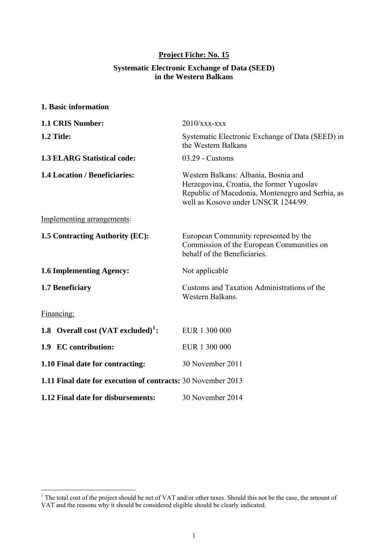## **Project Fiche: No. 15**

#### **Systematic Electronic Exchange of Data (SEED) in the Western Balkans**

**1. Basic information** 

| 1.1 CRIS Number:                                             | $2010$ /xxx-xxx                                                                                                                                                              |
|--------------------------------------------------------------|------------------------------------------------------------------------------------------------------------------------------------------------------------------------------|
| 1.2 Title:                                                   | Systematic Electronic Exchange of Data (SEED) in<br>the Western Balkans                                                                                                      |
| <b>1.3 ELARG Statistical code:</b>                           | $03.29$ - Customs                                                                                                                                                            |
| <b>1.4 Location / Beneficiaries:</b>                         | Western Balkans: Albania, Bosnia and<br>Herzegovina, Croatia, the former Yugoslav<br>Republic of Macedonia, Montenegro and Serbia, as<br>well as Kosovo under UNSCR 1244/99. |
| Implementing arrangements:                                   |                                                                                                                                                                              |
| 1.5 Contracting Authority (EC):                              | European Community represented by the<br>Commission of the European Communities on<br>behalf of the Beneficiaries.                                                           |
| <b>1.6 Implementing Agency:</b>                              | Not applicable                                                                                                                                                               |
| 1.7 Beneficiary                                              | Customs and Taxation Administrations of the<br>Western Balkans.                                                                                                              |
| Financing:                                                   |                                                                                                                                                                              |
| 1.8 Overall cost (VAT excluded) <sup>1</sup> :               | EUR 1 300 000                                                                                                                                                                |
| 1.9 EC contribution:                                         | EUR 1 300 000                                                                                                                                                                |
| 1.10 Final date for contracting:                             | 30 November 2011                                                                                                                                                             |
| 1.11 Final date for execution of contracts: 30 November 2013 |                                                                                                                                                                              |
| 1.12 Final date for disbursements:                           | 30 November 2014                                                                                                                                                             |

<span id="page-0-0"></span><sup>&</sup>lt;sup>1</sup> The total cost of the project should be net of VAT and/or other taxes. Should this not be the case, the amount of VAT and the reasons why it should be considered eligible should be clearly indicated.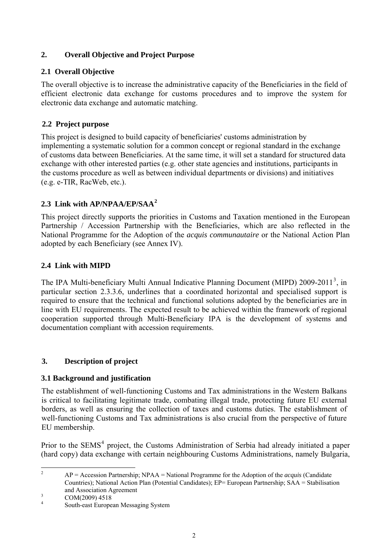### **2. Overall Objective and Project Purpose**

### **2.1 Overall Objective**

The overall objective is to increase the administrative capacity of the Beneficiaries in the field of efficient electronic data exchange for customs procedures and to improve the system for electronic data exchange and automatic matching.

### **2.2 Project purpose**

This project is designed to build capacity of beneficiaries' customs administration by implementing a systematic solution for a common concept or regional standard in the exchange of customs data between Beneficiaries. At the same time, it will set a standard for structured data exchange with other interested parties (e.g. other state agencies and institutions, participants in the customs procedure as well as between individual departments or divisions) and initiatives (e.g. е-TIR, RacWeb, etc.).

## **2.3 Link with AP/NPAA/EP/SAA[2](#page-1-0)**

This project directly supports the priorities in Customs and Taxation mentioned in the European Partnership / Accession Partnership with the Beneficiaries, which are also reflected in the National Programme for the Adoption of the *acquis communautaire* or the National Action Plan adopted by each Beneficiary (see Annex IV).

## **2.4 Link with MIPD**

The IPA Multi-beneficiary Multi Annual Indicative Planning Document (MIPD)  $2009-2011^3$  $2009-2011^3$ , in particular section 2.3.3.6, underlines that a coordinated horizontal and specialised support is required to ensure that the technical and functional solutions adopted by the beneficiaries are in line with EU requirements. The expected result to be achieved within the framework of regional cooperation supported through Multi-Beneficiary IPA is the development of systems and documentation compliant with accession requirements.

## **3. Description of project**

### **3.1 Background and justification**

The establishment of well-functioning Customs and Tax administrations in the Western Balkans is critical to facilitating legitimate trade, combating illegal trade, protecting future EU external borders, as well as ensuring the collection of taxes and customs duties. The establishment of well-functioning Customs and Tax administrations is also crucial from the perspective of future EU membership.

Prior to the SEMS<sup>[4](#page-1-2)</sup> project, the Customs Administration of Serbia had already initiated a paper (hard copy) data exchange with certain neighbouring Customs Administrations, namely Bulgaria,

 $\frac{1}{2}$  AP = Accession Partnership; NPAA = National Programme for the Adoption of the *acquis* (Candidate Countries); National Action Plan (Potential Candidates); EP= European Partnership; SAA = Stabilisation and Association Agreement

COM(2009) 4518

<span id="page-1-2"></span><span id="page-1-1"></span><span id="page-1-0"></span><sup>4</sup> South-east European Messaging System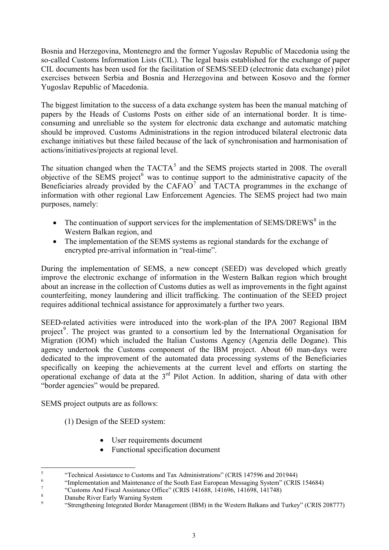Bosnia and Herzegovina, Montenegro and the former Yugoslav Republic of Macedonia using the so-called Customs Information Lists (CIL). The legal basis established for the exchange of paper CIL documents has been used for the facilitation of SEMS/SEED (electronic data exchange) pilot exercises between Serbia and Bosnia and Herzegovina and between Kosovo and the former Yugoslav Republic of Macedonia.

The biggest limitation to the success of a data exchange system has been the manual matching of papers by the Heads of Customs Posts on either side of an international border. It is timeconsuming and unreliable so the system for electronic data exchange and automatic matching should be improved. Customs Administrations in the region introduced bilateral electronic data exchange initiatives but these failed because of the lack of synchronisation and harmonisation of actions/initiatives/projects at regional level.

The situation changed when the  $TACTA<sup>5</sup>$  $TACTA<sup>5</sup>$  $TACTA<sup>5</sup>$  and the SEMS projects started in 2008. The overall objective of the SEMS project $<sup>6</sup>$  $<sup>6</sup>$  $<sup>6</sup>$  was to continue support to the administrative capacity of the</sup> Beneficiaries already provided by the  $CAFAO<sup>7</sup>$  $CAFAO<sup>7</sup>$  $CAFAO<sup>7</sup>$  and TACTA programmes in the exchange of information with other regional Law Enforcement Agencies. The SEMS project had two main purposes, namely:

- The continuation of support services for the implementation of  $SEMS/DREWS<sup>8</sup>$  $SEMS/DREWS<sup>8</sup>$  $SEMS/DREWS<sup>8</sup>$  in the Western Balkan region, and
- The implementation of the SEMS systems as regional standards for the exchange of encrypted pre-arrival information in "real-time".

During the implementation of SEMS, a new concept (SEED) was developed which greatly improve the electronic exchange of information in the Western Balkan region which brought about an increase in the collection of Customs duties as well as improvements in the fight against counterfeiting, money laundering and illicit trafficking. The continuation of the SEED project requires additional technical assistance for approximately a further two years.

SEED-related activities were introduced into the work-plan of the IPA 2007 Regional IBM project<sup>[9](#page-2-4)</sup>. The project was granted to a consortium led by the International Organisation for Migration (IOM) which included the Italian Customs Agency (Agenzia delle Dogane). This agency undertook the Customs component of the IBM project. About 60 man-days were dedicated to the improvement of the automated data processing systems of the Beneficiaries specifically on keeping the achievements at the current level and efforts on starting the operational exchange of data at the  $3<sup>rd</sup>$  Pilot Action. In addition, sharing of data with other "border agencies" would be prepared.

SEMS project outputs are as follows:

(1) Design of the SEED system:

- User requirements document
- Functional specification document

<span id="page-2-0"></span> $\frac{1}{5}$ <sup>5</sup><br>"Technical Assistance to Customs and Tax Administrations" (CRIS 147596 and 201944)<br>""Implementation and Maintenance of the South East European Messaging System" (CBIS

 <sup>&</sup>quot;Implementation and Maintenance of the South East European Messaging System" (CRIS 154684)

<span id="page-2-2"></span><span id="page-2-1"></span><sup>7</sup> <sup>7</sup> "Customs And Fiscal Assistance Office" (CRIS 141688, 141696, 141698, 141748)

<span id="page-2-3"></span>Danube River Early Warning System

<span id="page-2-4"></span><sup>9</sup> "Strengthening Integrated Border Management (IBM) in the Western Balkans and Turkey" (CRIS 208777)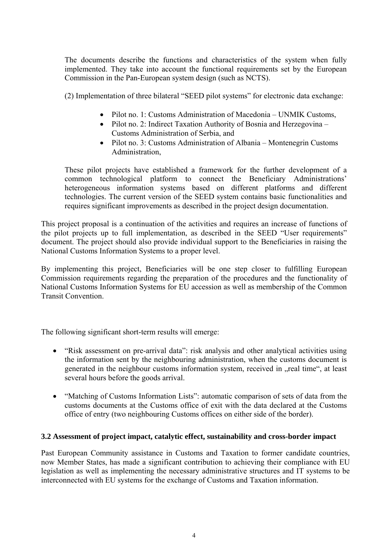The documents describe the functions and characteristics of the system when fully implemented. They take into account the functional requirements set by the European Commission in the Pan-European system design (such as NCTS).

(2) Implementation of three bilateral "SEED pilot systems" for electronic data exchange:

- Pilot no. 1: Customs Administration of Macedonia UNMIK Customs,
- Pilot no. 2: Indirect Taxation Authority of Bosnia and Herzegovina Customs Administration of Serbia, and
- Pilot no. 3: Customs Administration of Albania Montenegrin Customs Administration,

These pilot projects have established a framework for the further development of a common technological platform to connect the Beneficiary Administrations' heterogeneous information systems based on different platforms and different technologies. The current version of the SEED system contains basic functionalities and requires significant improvements as described in the project design documentation.

This project proposal is a continuation of the activities and requires an increase of functions of the pilot projects up to full implementation, as described in the SEED "User requirements" document. The project should also provide individual support to the Beneficiaries in raising the National Customs Information Systems to a proper level.

By implementing this project, Beneficiaries will be one step closer to fulfilling European Commission requirements regarding the preparation of the procedures and the functionality of National Customs Information Systems for EU accession as well as membership of the Common Transit Convention.

The following significant short-term results will emerge:

- "Risk assessment on pre-arrival data": risk analysis and other analytical activities using the information sent by the neighbouring administration, when the customs document is generated in the neighbour customs information system, received in "real time", at least several hours before the goods arrival.
- "Matching of Customs Information Lists": automatic comparison of sets of data from the customs documents at the Customs office of exit with the data declared at the Customs office of entry (two neighbouring Customs offices on either side of the border).

### **3.2 Assessment of project impact, catalytic effect, sustainability and cross-border impact**

Past European Community assistance in Customs and Taxation to former candidate countries, now Member States, has made a significant contribution to achieving their compliance with EU legislation as well as implementing the necessary administrative structures and IT systems to be interconnected with EU systems for the exchange of Customs and Taxation information.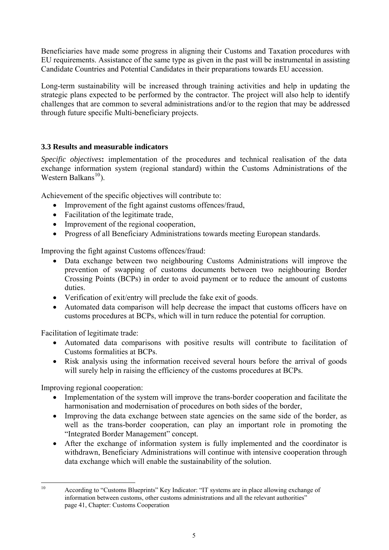Beneficiaries have made some progress in aligning their Customs and Taxation procedures with EU requirements. Assistance of the same type as given in the past will be instrumental in assisting Candidate Countries and Potential Candidates in their preparations towards EU accession.

Long-term sustainability will be increased through training activities and help in updating the strategic plans expected to be performed by the contractor. The project will also help to identify challenges that are common to several administrations and/or to the region that may be addressed through future specific Multi-beneficiary projects.

## **3.3 Results and measurable indicators**

*Specific objectives***:** implementation of the procedures and technical realisation of the data exchange information system (regional standard) within the Customs Administrations of the Western Balkans $^{10}$  $^{10}$  $^{10}$ ).

Achievement of the specific objectives will contribute to:

- Improvement of the fight against customs offences/fraud,
- Facilitation of the legitimate trade,
- Improvement of the regional cooperation,
- Progress of all Beneficiary Administrations towards meeting European standards.

Improving the fight against Customs offences/fraud:

- Data exchange between two neighbouring Customs Administrations will improve the prevention of swapping of customs documents between two neighbouring Border Crossing Points (BCPs) in order to avoid payment or to reduce the amount of customs duties.
- Verification of exit/entry will preclude the fake exit of goods.
- Automated data comparison will help decrease the impact that customs officers have on customs procedures at BCPs, which will in turn reduce the potential for corruption.

Facilitation of legitimate trade:

- Automated data comparisons with positive results will contribute to facilitation of Customs formalities at BCPs.
- Risk analysis using the information received several hours before the arrival of goods will surely help in raising the efficiency of the customs procedures at BCPs.

Improving regional cooperation:

- Implementation of the system will improve the trans-border cooperation and facilitate the harmonisation and modernisation of procedures on both sides of the border,
- Improving the data exchange between state agencies on the same side of the border, as well as the trans-border cooperation, can play an important role in promoting the "Integrated Border Management" concept.
- After the exchange of information system is fully implemented and the coordinator is withdrawn, Beneficiary Administrations will continue with intensive cooperation through data exchange which will enable the sustainability of the solution.

<span id="page-4-0"></span> $10$ 

According to "Customs Blueprints" Key Indicator: "IT systems are in place allowing exchange of information between customs, other customs administrations and all the relevant authorities" page 41, Chapter: Customs Cooperation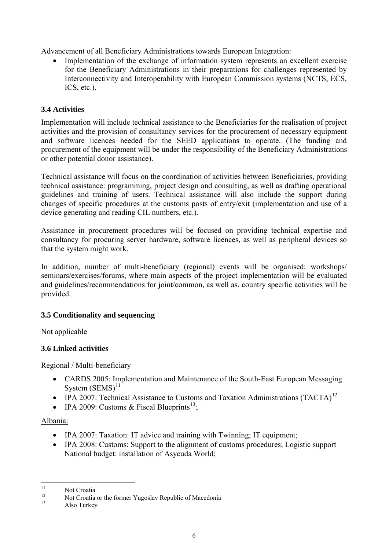Advancement of all Beneficiary Administrations towards European Integration:

• Implementation of the exchange of information system represents an excellent exercise for the Beneficiary Administrations in their preparations for challenges represented by Interconnectivity and Interoperability with European Commission systems (NCTS, ECS, ICS, etc.).

## **3.4 Activities**

Implementation will include technical assistance to the Beneficiaries for the realisation of project activities and the provision of consultancy services for the procurement of necessary equipment and software licences needed for the SEED applications to operate. (The funding and procurement of the equipment will be under the responsibility of the Beneficiary Administrations or other potential donor assistance).

Technical assistance will focus on the coordination of activities between Beneficiaries, providing technical assistance: programming, project design and consulting, as well as drafting operational guidelines and training of users. Technical assistance will also include the support during changes of specific procedures at the customs posts of entry/exit (implementation and use of a device generating and reading CIL numbers, etc.).

Assistance in procurement procedures will be focused on providing technical expertise and consultancy for procuring server hardware, software licences, as well as peripheral devices so that the system might work.

In addition, number of multi-beneficiary (regional) events will be organised: workshops/ seminars/exercises/forums, where main aspects of the project implementation will be evaluated and guidelines/recommendations for joint/common, as well as, country specific activities will be provided.

### **3.5 Conditionality and sequencing**

Not applicable

### **3.6 Linked activities**

Regional / Multi-beneficiary

- CARDS 2005: Implementation and Maintenance of the South-East European Messaging System  $(SEMS)^{11}$  $(SEMS)^{11}$  $(SEMS)^{11}$
- IPA 2007: Technical Assistance to Customs and Taxation Administrations (TACTA)<sup>[12](#page-5-1)</sup>
- IPA 2009: Customs & Fiscal Blueprints<sup>[13](#page-5-2)</sup>:

### Albania:

- IPA 2007: Taxation: IT advice and training with Twinning; IT equipment;
- IPA 2008: Customs: Support to the alignment of customs procedures; Logistic support National budget: installation of Asycuda World;

<span id="page-5-0"></span> $11$  $11$  Not Croatia

<span id="page-5-1"></span><sup>&</sup>lt;sup>12</sup> Not Croatia or the former Yugoslav Republic of Macedonia

<span id="page-5-2"></span>Also Turkey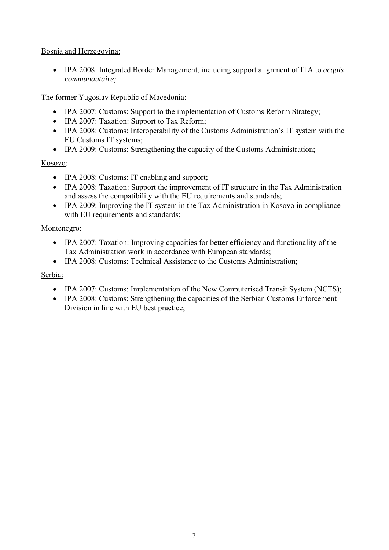### Bosnia and Herzegovina:

• IPA 2008: Integrated Border Management, including support alignment of ITA to *acquis communautaire;*

## The former Yugoslav Republic of Macedonia:

- IPA 2007: Customs: Support to the implementation of Customs Reform Strategy;
- IPA 2007: Taxation: Support to Tax Reform;
- IPA 2008: Customs: Interoperability of the Customs Administration's IT system with the EU Customs IT systems;
- IPA 2009: Customs: Strengthening the capacity of the Customs Administration;

## Kosovo:

- IPA 2008: Customs: IT enabling and support:
- IPA 2008: Taxation: Support the improvement of IT structure in the Tax Administration and assess the compatibility with the EU requirements and standards;
- IPA 2009: Improving the IT system in the Tax Administration in Kosovo in compliance with EU requirements and standards;

## Montenegro:

- IPA 2007: Taxation: Improving capacities for better efficiency and functionality of the Tax Administration work in accordance with European standards;
- IPA 2008: Customs: Technical Assistance to the Customs Administration;

## Serbia:

- IPA 2007: Customs: Implementation of the New Computerised Transit System (NCTS);
- IPA 2008: Customs: Strengthening the capacities of the Serbian Customs Enforcement Division in line with EU best practice;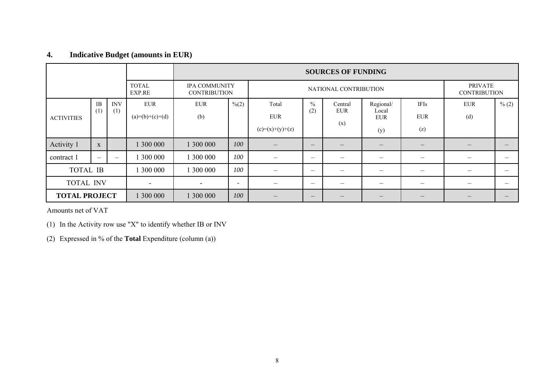## **4. Indicative Budget (amounts in EUR)**

|                      |                 |                   |                                 | <b>SOURCES OF FUNDING</b> |                                                                      |                          |                          |                       |                                  |                                       |                          |                          |
|----------------------|-----------------|-------------------|---------------------------------|---------------------------|----------------------------------------------------------------------|--------------------------|--------------------------|-----------------------|----------------------------------|---------------------------------------|--------------------------|--------------------------|
|                      |                 |                   | <b>TOTAL</b><br>EXP.RE          |                           | <b>IPA COMMUNITY</b><br>NATIONAL CONTRIBUTION<br><b>CONTRIBUTION</b> |                          |                          |                       |                                  | <b>PRIVATE</b><br><b>CONTRIBUTION</b> |                          |                          |
| <b>ACTIVITIES</b>    | $\rm IB$<br>(1) | <b>INV</b><br>(1) | <b>EUR</b><br>$(a)=(b)+(c)+(d)$ | <b>EUR</b><br>(b)         | $\frac{6}{2}$                                                        | Total<br><b>EUR</b>      | $\%$<br>(2)              | Central<br><b>EUR</b> | Regional/<br>Local<br><b>EUR</b> | <b>IFIs</b><br><b>EUR</b>             | <b>EUR</b><br>(d)        | $\frac{9}{6}$ (2)        |
|                      |                 |                   |                                 |                           |                                                                      | $(c)=(x)+(y)+(z)$        |                          | (x)                   | (y)                              | (z)                                   |                          |                          |
| Activity 1           | $\mathbf X$     |                   | 300 000                         | 1 300 000                 | 100                                                                  |                          | $\overline{\phantom{m}}$ |                       |                                  | –                                     |                          |                          |
| contract 1           |                 |                   | 300 000                         | 300 000                   | 100                                                                  |                          | $\overline{\phantom{m}}$ |                       | —                                | —                                     |                          |                          |
| <b>TOTAL IB</b>      |                 |                   | 300 000                         | 300 000                   | 100                                                                  | $\overline{\phantom{m}}$ | $\overline{\phantom{m}}$ | -                     | —                                | $\overline{\phantom{0}}$              | $\overline{\phantom{0}}$ | $\overline{\phantom{0}}$ |
| <b>TOTAL INV</b>     |                 |                   | $\sim$                          | $\sim$                    | $\overline{\phantom{a}}$                                             |                          | $\overline{\phantom{m}}$ |                       | —                                | $\overline{\phantom{0}}$              |                          |                          |
| <b>TOTAL PROJECT</b> |                 |                   | 300 000                         | 1 300 000                 | 100                                                                  | $\overline{\phantom{m}}$ | $\qquad \qquad \qquad$   |                       | $\hspace{0.1mm}-\hspace{0.1mm}$  | $\overline{\phantom{m}}$              |                          |                          |

Amounts net of VAT

(1) In the Activity row use "X" to identify whether IB or INV

(2) Expressed in % of the **Total** Expenditure (column (a))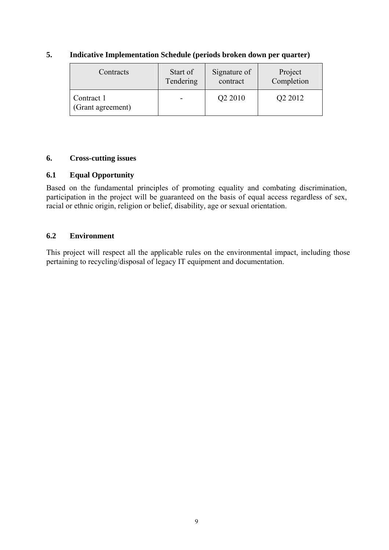| Contracts                       | Start of  | Signature of        | Project    |
|---------------------------------|-----------|---------------------|------------|
|                                 | Tendering | contract            | Completion |
| Contract 1<br>(Grant agreement) |           | Q <sub>2</sub> 2010 | Q2 2012    |

### **5. Indicative Implementation Schedule (periods broken down per quarter)**

### **6. Cross-cutting issues**

### **6.1 Equal Opportunity**

Based on the fundamental principles of promoting equality and combating discrimination, participation in the project will be guaranteed on the basis of equal access regardless of sex, racial or ethnic origin, religion or belief, disability, age or sexual orientation.

#### **6.2 Environment**

This project will respect all the applicable rules on the environmental impact, including those pertaining to recycling/disposal of legacy IT equipment and documentation.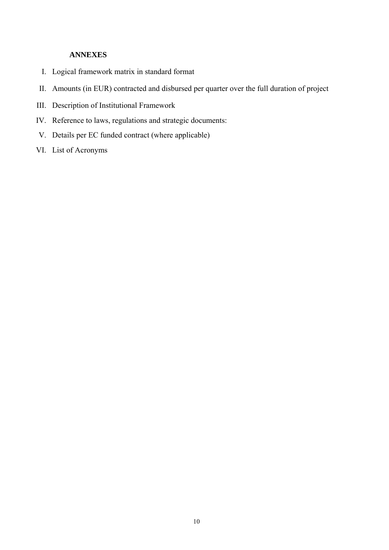## **ANNEXES**

- I. Logical framework matrix in standard format
- II. Amounts (in EUR) contracted and disbursed per quarter over the full duration of project
- III. Description of Institutional Framework
- IV. Reference to laws, regulations and strategic documents:
- V. Details per EC funded contract (where applicable)
- VI. List of Acronyms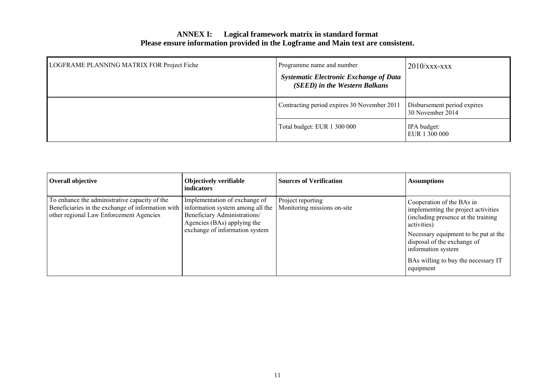### **ANNEX I: Logical framework matrix in standard format Please ensure information provided in the Logframe and Main text are consistent.**

| LOGFRAME PLANNING MATRIX FOR Project Fiche | Programme name and number<br><b>Systematic Electronic Exchange of Data</b><br>(SEED) in the Western Balkans | $2010$ /xxx-xxx                                 |
|--------------------------------------------|-------------------------------------------------------------------------------------------------------------|-------------------------------------------------|
|                                            | Contracting period expires 30 November 2011                                                                 | Disbursement period expires<br>30 November 2014 |
|                                            | Total budget: EUR 1 300 000                                                                                 | IPA budget:<br>EUR 1 300 000                    |

| <b>Overall objective</b>                                                                                                                      | <b>Objectively verifiable</b><br><i>indicators</i>                                                                                                                 | <b>Sources of Verification</b>                   | <b>Assumptions</b>                                                                                                                                                                                                                                                       |
|-----------------------------------------------------------------------------------------------------------------------------------------------|--------------------------------------------------------------------------------------------------------------------------------------------------------------------|--------------------------------------------------|--------------------------------------------------------------------------------------------------------------------------------------------------------------------------------------------------------------------------------------------------------------------------|
| To enhance the administrative capacity of the<br>Beneficiaries in the exchange of information with<br>other regional Law Enforcement Agencies | Implementation of exchange of<br>information system among all the<br>Beneficiary Administrations/<br>Agencies (BAs) applying the<br>exchange of information system | Project reporting<br>Monitoring missions on-site | Cooperation of the BAs in<br>implementing the project activities<br>(including presence at the training)<br>activities)<br>Necessary equipment to be put at the<br>disposal of the exchange of<br>information system<br>BAs willing to buy the necessary IT<br>equipment |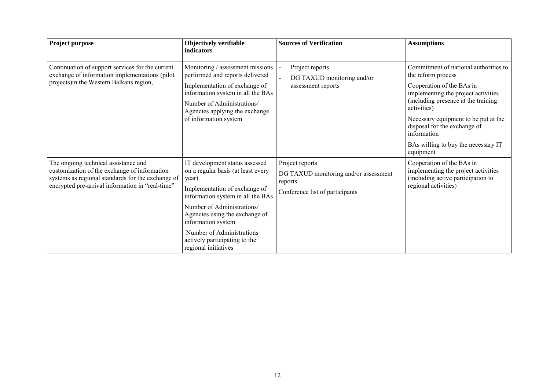| Project purpose                                                                                                                                                                               | <b>Objectively verifiable</b><br>indicators                                                                                                                                                                                               | <b>Sources of Verification</b>                                                                         | <b>Assumptions</b>                                                                                                             |
|-----------------------------------------------------------------------------------------------------------------------------------------------------------------------------------------------|-------------------------------------------------------------------------------------------------------------------------------------------------------------------------------------------------------------------------------------------|--------------------------------------------------------------------------------------------------------|--------------------------------------------------------------------------------------------------------------------------------|
| Continuation of support services for the current<br>exchange of information implementations (pilot                                                                                            | Monitoring / assessment missions<br>performed and reports delivered                                                                                                                                                                       | Project reports<br>DG TAXUD monitoring and/or                                                          | Commitment of national authorities to<br>the reform process                                                                    |
| projects) in the Western Balkans region,                                                                                                                                                      | Implementation of exchange of<br>information system in all the BAs<br>Number of Administrations/<br>Agencies applying the exchange                                                                                                        | assessment reports                                                                                     | Cooperation of the BAs in<br>implementing the project activities<br>(including presence at the training<br>activities)         |
|                                                                                                                                                                                               | of information system                                                                                                                                                                                                                     |                                                                                                        | Necessary equipment to be put at the<br>disposal for the exchange of<br>information                                            |
|                                                                                                                                                                                               |                                                                                                                                                                                                                                           |                                                                                                        | BAs willing to buy the necessary IT<br>equipment                                                                               |
| The ongoing technical assistance and<br>customization of the exchange of information<br>systems as regional standards for the exchange of<br>encrypted pre-arrival information in "real-time" | IT development status assessed<br>on a regular basis (at least every<br>year)<br>Implementation of exchange of<br>information system in all the BAs<br>Number of Administrations/<br>Agencies using the exchange of<br>information system | Project reports<br>DG TAXUD monitoring and/or assessment<br>reports<br>Conference list of participants | Cooperation of the BAs in<br>implementing the project activities<br>(including active participation to<br>regional activities) |
|                                                                                                                                                                                               | Number of Administrations<br>actively participating to the<br>regional initiatives                                                                                                                                                        |                                                                                                        |                                                                                                                                |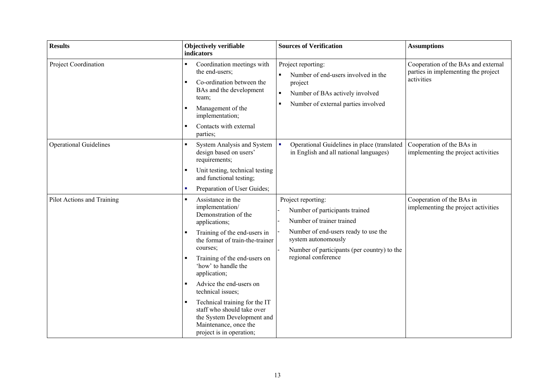| <b>Results</b>                                                                                                                                                                                                                 | <b>Objectively verifiable</b><br>indicators                                                                                                                                                                                                            | <b>Sources of Verification</b>                                                                                                                                                                  | <b>Assumptions</b>                                                                       |
|--------------------------------------------------------------------------------------------------------------------------------------------------------------------------------------------------------------------------------|--------------------------------------------------------------------------------------------------------------------------------------------------------------------------------------------------------------------------------------------------------|-------------------------------------------------------------------------------------------------------------------------------------------------------------------------------------------------|------------------------------------------------------------------------------------------|
| Project Coordination                                                                                                                                                                                                           | Coordination meetings with<br>$\blacksquare$<br>the end-users;<br>Co-ordination between the<br>$\blacksquare$<br>BAs and the development<br>team;<br>Management of the<br>٠<br>implementation;<br>Contacts with external<br>$\blacksquare$<br>parties; | Project reporting:<br>Number of end-users involved in the<br>project<br>Number of BAs actively involved<br>$\blacksquare$<br>Number of external parties involved                                | Cooperation of the BAs and external<br>parties in implementing the project<br>activities |
| <b>Operational Guidelines</b>                                                                                                                                                                                                  | System Analysis and System<br>$\blacksquare$<br>design based on users'<br>requirements;<br>Unit testing, technical testing<br>$\blacksquare$                                                                                                           | Operational Guidelines in place (translated<br>in English and all national languages)                                                                                                           | Cooperation of the BAs in<br>implementing the project activities                         |
|                                                                                                                                                                                                                                | and functional testing;<br>Preparation of User Guides;<br>×                                                                                                                                                                                            |                                                                                                                                                                                                 |                                                                                          |
| Pilot Actions and Training<br>Assistance in the<br>$\blacksquare$<br>implementation/<br>Demonstration of the<br>applications;<br>Training of the end-users in<br>$\blacksquare$<br>the format of train-the-trainer<br>courses; |                                                                                                                                                                                                                                                        | Project reporting:<br>Number of participants trained<br>Number of trainer trained<br>Number of end-users ready to use the<br>system autonomously<br>Number of participants (per country) to the | Cooperation of the BAs in<br>implementing the project activities                         |
|                                                                                                                                                                                                                                | Training of the end-users on<br>'how' to handle the<br>application;                                                                                                                                                                                    | regional conference                                                                                                                                                                             |                                                                                          |
|                                                                                                                                                                                                                                | Advice the end-users on<br>$\blacksquare$<br>technical issues;                                                                                                                                                                                         |                                                                                                                                                                                                 |                                                                                          |
|                                                                                                                                                                                                                                | Technical training for the IT<br>$\blacksquare$<br>staff who should take over<br>the System Development and<br>Maintenance, once the<br>project is in operation;                                                                                       |                                                                                                                                                                                                 |                                                                                          |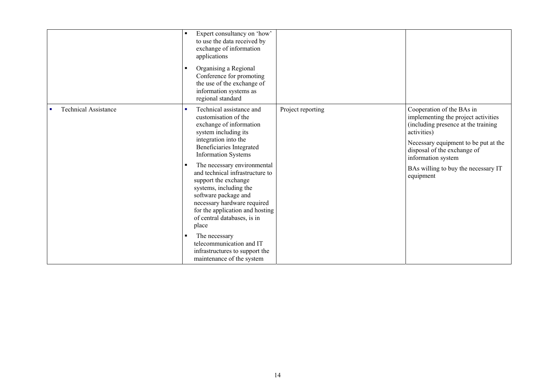|                                  | Expert consultancy on 'how'<br>$\blacksquare$<br>to use the data received by<br>exchange of information<br>applications<br>Organising a Regional<br>$\blacksquare$<br>Conference for promoting<br>the use of the exchange of<br>information systems as<br>regional standard                                                                                                                                                                                                                                                                                                         |                   |                                                                                                                                                                                                                                                                         |
|----------------------------------|-------------------------------------------------------------------------------------------------------------------------------------------------------------------------------------------------------------------------------------------------------------------------------------------------------------------------------------------------------------------------------------------------------------------------------------------------------------------------------------------------------------------------------------------------------------------------------------|-------------------|-------------------------------------------------------------------------------------------------------------------------------------------------------------------------------------------------------------------------------------------------------------------------|
| <b>Technical Assistance</b><br>× | Technical assistance and<br>٠<br>customisation of the<br>exchange of information<br>system including its<br>integration into the<br>Beneficiaries Integrated<br><b>Information Systems</b><br>The necessary environmental<br>$\blacksquare$<br>and technical infrastructure to<br>support the exchange<br>systems, including the<br>software package and<br>necessary hardware required<br>for the application and hosting<br>of central databases, is in<br>place<br>The necessary<br>п<br>telecommunication and IT<br>infrastructures to support the<br>maintenance of the system | Project reporting | Cooperation of the BAs in<br>implementing the project activities<br>(including presence at the training<br>activities)<br>Necessary equipment to be put at the<br>disposal of the exchange of<br>information system<br>BAs willing to buy the necessary IT<br>equipment |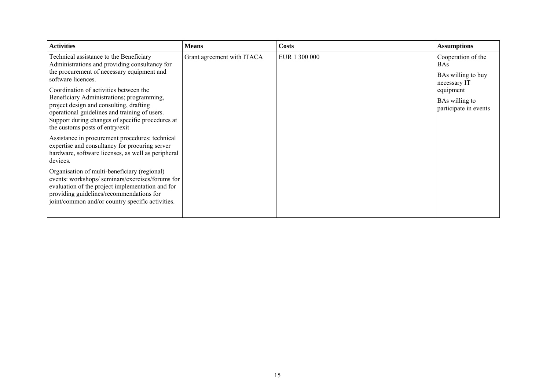| <b>Activities</b>                                                                                                                                                                                                                                   | <b>Means</b>               | <b>Costs</b>  | <b>Assumptions</b>                      |
|-----------------------------------------------------------------------------------------------------------------------------------------------------------------------------------------------------------------------------------------------------|----------------------------|---------------|-----------------------------------------|
| Technical assistance to the Beneficiary<br>Administrations and providing consultancy for                                                                                                                                                            | Grant agreement with ITACA | EUR 1 300 000 | Cooperation of the<br><b>BAs</b>        |
| the procurement of necessary equipment and<br>software licences.                                                                                                                                                                                    |                            |               | BAs willing to buy<br>necessary IT      |
| Coordination of activities between the<br>Beneficiary Administrations; programming,                                                                                                                                                                 |                            |               | equipment                               |
| project design and consulting, drafting<br>operational guidelines and training of users.<br>Support during changes of specific procedures at<br>the customs posts of entry/exit                                                                     |                            |               | BAs willing to<br>participate in events |
| Assistance in procurement procedures: technical<br>expertise and consultancy for procuring server<br>hardware, software licenses, as well as peripheral<br>devices.                                                                                 |                            |               |                                         |
| Organisation of multi-beneficiary (regional)<br>events: workshops/seminars/exercises/forums for<br>evaluation of the project implementation and for<br>providing guidelines/recommendations for<br>joint/common and/or country specific activities. |                            |               |                                         |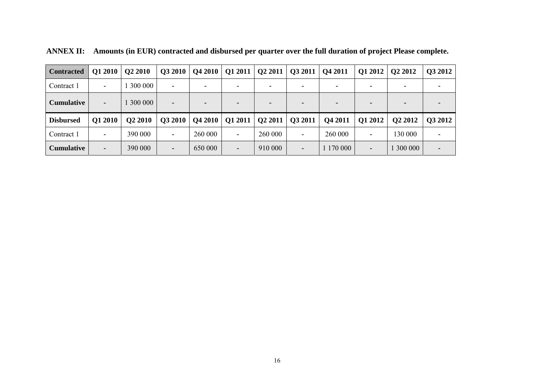| <b>Contracted</b> | Q1 2010        | Q2 2010 | Q3 2010        | <b>Q4 2010</b> | Q1 2011                  | Q22011  | Q3 2011 | Q4 2011 | Q1 2012   Q2 2012 |                     | Q3 2012        |
|-------------------|----------------|---------|----------------|----------------|--------------------------|---------|---------|---------|-------------------|---------------------|----------------|
| Contract 1        | $\blacksquare$ | 300 000 | $\blacksquare$ | $\sim$         | $\overline{\phantom{0}}$ |         |         |         | $\blacksquare$    |                     |                |
| <b>Cumulative</b> | $\blacksquare$ | 300 000 |                |                |                          |         |         |         |                   |                     |                |
|                   |                |         |                |                |                          |         |         |         |                   |                     |                |
| <b>Disbursed</b>  | Q1 2010        | Q2 2010 | Q3 2010        | <b>Q4 2010</b> | Q1 2011                  | Q22011  | Q3 2011 | Q4 2011 | Q1 2012           | O <sub>2</sub> 2012 | <b>O3 2012</b> |
| Contract 1        |                | 390 000 | ۰              | 260 000        |                          | 260 000 |         | 260 000 | ۰                 | 130 000             |                |

**ANNEX II: Amounts (in EUR) contracted and disbursed per quarter over the full duration of project Please complete.**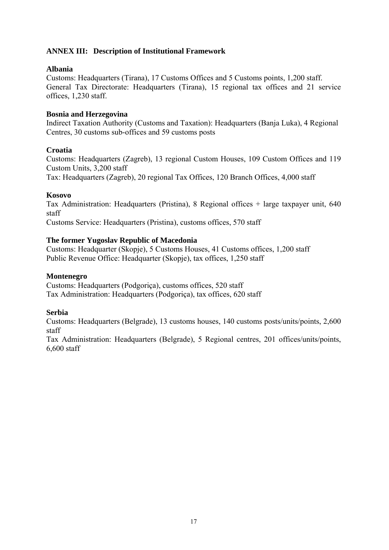### **ANNEX III: Description of Institutional Framework**

#### **Albania**

Customs: Headquarters (Tirana), 17 Customs Offices and 5 Customs points, 1,200 staff. General Tax Directorate: Headquarters (Tirana), 15 regional tax offices and 21 service offices, 1,230 staff.

#### **Bosnia and Herzegovina**

Indirect Taxation Authority (Customs and Taxation): Headquarters (Banja Luka), 4 Regional Centres, 30 customs sub-offices and 59 customs posts

#### **Croatia**

Customs: Headquarters (Zagreb), 13 regional Custom Houses, 109 Custom Offices and 119 Custom Units, 3,200 staff Tax: Headquarters (Zagreb), 20 regional Tax Offices, 120 Branch Offices, 4,000 staff

#### **Kosovo**

Tax Administration: Headquarters (Pristina), 8 Regional offices + large taxpayer unit, 640 staff

Customs Service: Headquarters (Pristina), customs offices, 570 staff

#### **The former Yugoslav Republic of Macedonia**

Customs: Headquarter (Skopje), 5 Customs Houses, 41 Customs offices, 1,200 staff Public Revenue Office: Headquarter (Skopje), tax offices, 1,250 staff

#### **Montenegro**

Customs: Headquarters (Podgoriça), customs offices, 520 staff Tax Administration: Headquarters (Podgoriça), tax offices, 620 staff

#### **Serbia**

Customs: Headquarters (Belgrade), 13 customs houses, 140 customs posts/units/points, 2,600 staff

Tax Administration: Headquarters (Belgrade), 5 Regional centres, 201 offices/units/points, 6,600 staff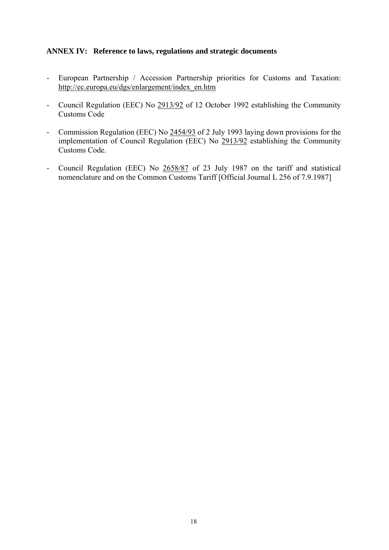### **ANNEX IV: Reference to laws, regulations and strategic documents**

- European Partnership / Accession Partnership priorities for Customs and Taxation: [http://ec.europa.eu/dgs/enlargement/index\\_en.htm](http://ec.europa.eu/dgs/enlargement/index_en.htm)
- Council Regulation (EEC) No [2913/92](http://eur-lex.europa.eu/smartapi/cgi/sga_doc?smartapi!celexplus!prod!DocNumber&lg=en&type_doc=Regulation&an_doc=1992&nu_doc=2913) of 12 October 1992 establishing the Community Customs Code
- Commission Regulation (EEC) No [2454/93](http://eur-lex.europa.eu/smartapi/cgi/sga_doc?smartapi!celexplus!prod!DocNumber&lg=en&type_doc=Regulation&an_doc=1993&nu_doc=2454) of 2 July 1993 laying down provisions for the implementation of Council Regulation (EEC) No [2913/92](http://eur-lex.europa.eu/smartapi/cgi/sga_doc?smartapi!celexplus!prod!DocNumber&lg=en&type_doc=Regulation&an_doc=1992&nu_doc=2913) establishing the Community Customs Code.
- Council Regulation (EEC) No [2658/87](http://eur-lex.europa.eu/smartapi/cgi/sga_doc?smartapi!celexplus!prod!DocNumber&lg=en&type_doc=Regulation&an_doc=1987&nu_doc=2658) of 23 July 1987 on the tariff and statistical nomenclature and on the Common Customs Tariff [Official Journal L 256 of 7.9.1987]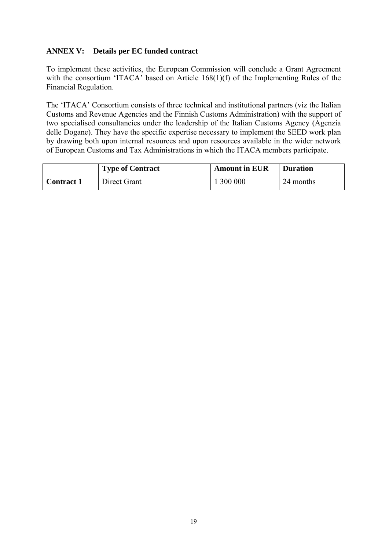### **ANNEX V: Details per EC funded contract**

To implement these activities, the European Commission will conclude a Grant Agreement with the consortium 'ITACA' based on Article 168(1)(f) of the Implementing Rules of the Financial Regulation.

The 'ITACA' Consortium consists of three technical and institutional partners (viz the Italian Customs and Revenue Agencies and the Finnish Customs Administration) with the support of two specialised consultancies under the leadership of the Italian Customs Agency (Agenzia delle Dogane). They have the specific expertise necessary to implement the SEED work plan by drawing both upon internal resources and upon resources available in the wider network of European Customs and Tax Administrations in which the ITACA members participate.

|                   | <b>Type of Contract</b> | <b>Amount in EUR</b> | <b>Duration</b> |
|-------------------|-------------------------|----------------------|-----------------|
| <b>Contract 1</b> | Direct Grant            | 300 000              | 24 months       |